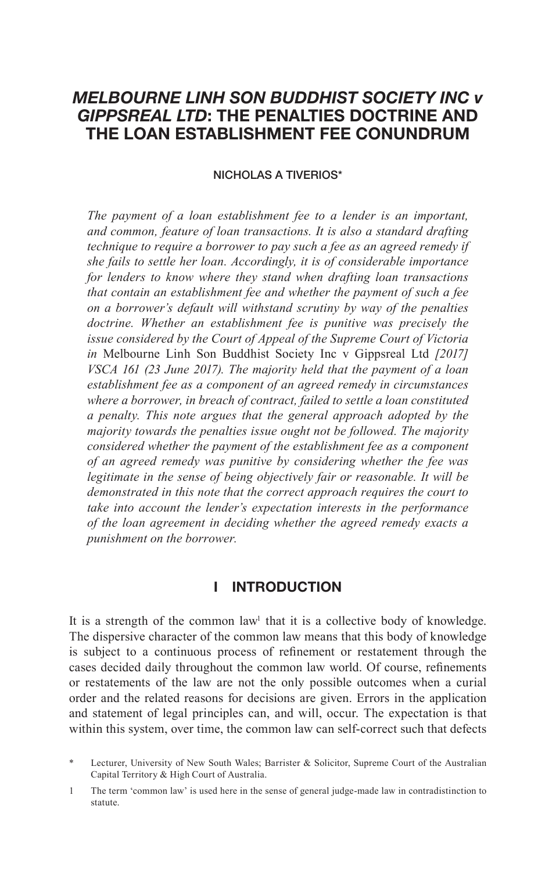# *MELBOURNE LINH SON BUDDHIST SOCIETY INC v GIPPSREAL LTD***: THE PENALTIES DOCTRINE AND THE LOAN ESTABLISHMENT FEE CONUNDRUM**

#### NICHOLAS A TIVERIOS\*

*The payment of a loan establishment fee to a lender is an important, and common, feature of loan transactions. It is also a standard drafting technique to require a borrower to pay such a fee as an agreed remedy if she fails to settle her loan. Accordingly, it is of considerable importance for lenders to know where they stand when drafting loan transactions that contain an establishment fee and whether the payment of such a fee on a borrower's default will withstand scrutiny by way of the penalties doctrine. Whether an establishment fee is punitive was precisely the issue considered by the Court of Appeal of the Supreme Court of Victoria in* Melbourne Linh Son Buddhist Society Inc v Gippsreal Ltd *[2017] VSCA 161 (23 June 2017). The majority held that the payment of a loan establishment fee as a component of an agreed remedy in circumstances where a borrower, in breach of contract, failed to settle a loan constituted a penalty. This note argues that the general approach adopted by the majority towards the penalties issue ought not be followed. The majority considered whether the payment of the establishment fee as a component of an agreed remedy was punitive by considering whether the fee was*  legitimate in the sense of being objectively fair or reasonable. It will be *demonstrated in this note that the correct approach requires the court to take into account the lender's expectation interests in the performance of the loan agreement in deciding whether the agreed remedy exacts a punishment on the borrower.* 

#### **I INTRODUCTION**

It is a strength of the common law<sup>1</sup> that it is a collective body of knowledge. The dispersive character of the common law means that this body of knowledge is subject to a continuous process of refinement or restatement through the cases decided daily throughout the common law world. Of course, refinements or restatements of the law are not the only possible outcomes when a curial order and the related reasons for decisions are given. Errors in the application and statement of legal principles can, and will, occur. The expectation is that within this system, over time, the common law can self-correct such that defects

Lecturer, University of New South Wales; Barrister & Solicitor, Supreme Court of the Australian Capital Territory & High Court of Australia.

<sup>1</sup> The term 'common law' is used here in the sense of general judge-made law in contradistinction to statute.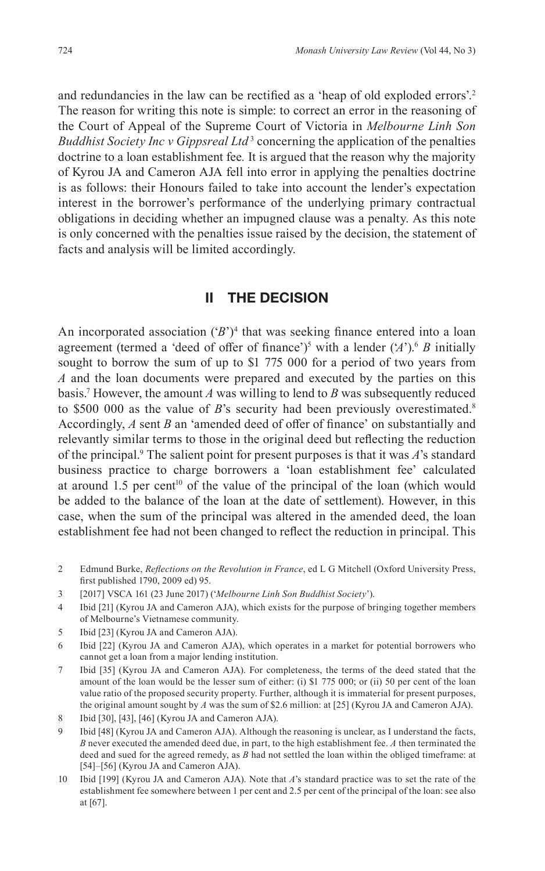and redundancies in the law can be rectified as a 'heap of old exploded errors'.<sup>2</sup> The reason for writing this note is simple: to correct an error in the reasoning of the Court of Appeal of the Supreme Court of Victoria in *Melbourne Linh Son Buddhist Society Inc v Gippsreal Ltd*<sup>3</sup> concerning the application of the penalties doctrine to a loan establishment fee*.* It is argued that the reason why the majority of Kyrou JA and Cameron AJA fell into error in applying the penalties doctrine is as follows: their Honours failed to take into account the lender's expectation interest in the borrower's performance of the underlying primary contractual obligations in deciding whether an impugned clause was a penalty. As this note is only concerned with the penalties issue raised by the decision, the statement of facts and analysis will be limited accordingly.

### **II THE DECISION**

An incorporated association  $(B')^4$  that was seeking finance entered into a loan agreement (termed a 'deed of offer of finance')<sup>5</sup> with a lender  $(A')$ .<sup>6</sup> *B* initially sought to borrow the sum of up to \$1 775 000 for a period of two years from *A* and the loan documents were prepared and executed by the parties on this basis.7 However, the amount *A* was willing to lend to *B* was subsequently reduced to \$500 000 as the value of *B*'s security had been previously overestimated.<sup>8</sup> Accordingly, *A* sent *B* an 'amended deed of offer of finance' on substantially and relevantly similar terms to those in the original deed but reflecting the reduction of the principal.9 The salient point for present purposes is that it was *A*'s standard business practice to charge borrowers a 'loan establishment fee' calculated at around 1.5 per cent<sup>10</sup> of the value of the principal of the loan (which would be added to the balance of the loan at the date of settlement). However, in this case, when the sum of the principal was altered in the amended deed, the loan establishment fee had not been changed to reflect the reduction in principal. This

- 2 Edmund Burke, *Reflections on the Revolution in France*, ed L G Mitchell (Oxford University Press, first published 1790, 2009 ed) 95.
- 3 [2017] VSCA 161 (23 June 2017) ('*Melbourne Linh Son Buddhist Society*').
- 4 Ibid [21] (Kyrou JA and Cameron AJA), which exists for the purpose of bringing together members of Melbourne's Vietnamese community.
- 5 Ibid [23] (Kyrou JA and Cameron AJA).
- 6 Ibid [22] (Kyrou JA and Cameron AJA), which operates in a market for potential borrowers who cannot get a loan from a major lending institution.
- 7 Ibid [35] (Kyrou JA and Cameron AJA). For completeness, the terms of the deed stated that the amount of the loan would be the lesser sum of either: (i) \$1 775 000; or (ii) 50 per cent of the loan value ratio of the proposed security property. Further, although it is immaterial for present purposes, the original amount sought by *A* was the sum of \$2.6 million: at [25] (Kyrou JA and Cameron AJA).
- 8 Ibid [30], [43], [46] (Kyrou JA and Cameron AJA).
- 9 Ibid [48] (Kyrou JA and Cameron AJA). Although the reasoning is unclear, as I understand the facts, *B* never executed the amended deed due, in part, to the high establishment fee. *A* then terminated the deed and sued for the agreed remedy, as *B* had not settled the loan within the obliged timeframe: at [54]–[56] (Kyrou JA and Cameron AJA).
- 10 Ibid [199] (Kyrou JA and Cameron AJA). Note that *A*'s standard practice was to set the rate of the establishment fee somewhere between 1 per cent and 2.5 per cent of the principal of the loan: see also at [67].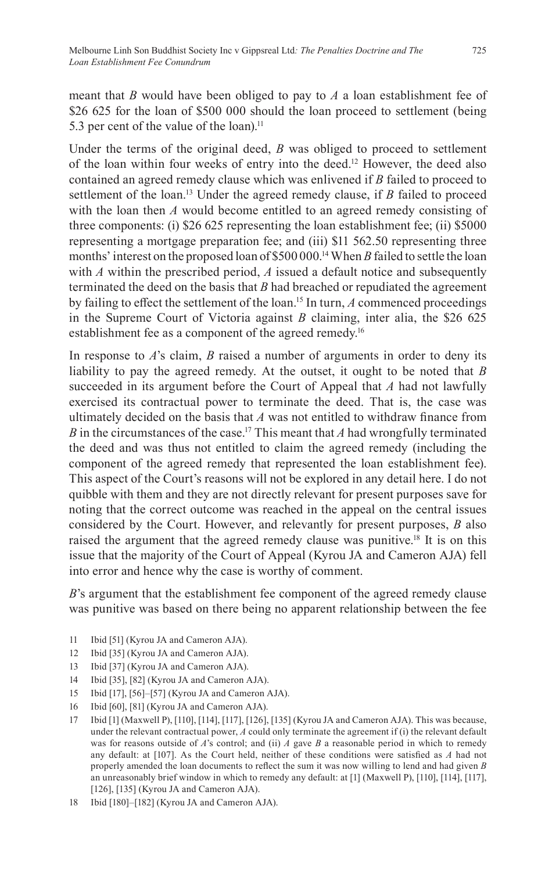meant that *B* would have been obliged to pay to *A* a loan establishment fee of \$26 625 for the loan of \$500 000 should the loan proceed to settlement (being 5.3 per cent of the value of the loan).<sup>11</sup>

Under the terms of the original deed, *B* was obliged to proceed to settlement of the loan within four weeks of entry into the deed.12 However, the deed also contained an agreed remedy clause which was enlivened if *B* failed to proceed to settlement of the loan.<sup>13</sup> Under the agreed remedy clause, if  $B$  failed to proceed with the loan then *A* would become entitled to an agreed remedy consisting of three components: (i) \$26 625 representing the loan establishment fee; (ii) \$5000 representing a mortgage preparation fee; and (iii) \$11 562.50 representing three months' interest on the proposed loan of \$500 000.<sup>14</sup> When *B* failed to settle the loan with *A* within the prescribed period, *A* issued a default notice and subsequently terminated the deed on the basis that *B* had breached or repudiated the agreement by failing to effect the settlement of the loan.15 In turn, *A* commenced proceedings in the Supreme Court of Victoria against *B* claiming, inter alia, the \$26 625 establishment fee as a component of the agreed remedy.<sup>16</sup>

In response to *A*'s claim, *B* raised a number of arguments in order to deny its liability to pay the agreed remedy. At the outset, it ought to be noted that *B* succeeded in its argument before the Court of Appeal that *A* had not lawfully exercised its contractual power to terminate the deed. That is, the case was ultimately decided on the basis that *A* was not entitled to withdraw finance from *B* in the circumstances of the case.<sup>17</sup> This meant that *A* had wrongfully terminated the deed and was thus not entitled to claim the agreed remedy (including the component of the agreed remedy that represented the loan establishment fee). This aspect of the Court's reasons will not be explored in any detail here. I do not quibble with them and they are not directly relevant for present purposes save for noting that the correct outcome was reached in the appeal on the central issues considered by the Court. However, and relevantly for present purposes, *B* also raised the argument that the agreed remedy clause was punitive.<sup>18</sup> It is on this issue that the majority of the Court of Appeal (Kyrou JA and Cameron AJA) fell into error and hence why the case is worthy of comment.

*B*'s argument that the establishment fee component of the agreed remedy clause was punitive was based on there being no apparent relationship between the fee

- 11 Ibid [51] (Kyrou JA and Cameron AJA).
- 12 Ibid [35] (Kyrou JA and Cameron AJA).
- 13 Ibid [37] (Kyrou JA and Cameron AJA).
- 14 Ibid [35], [82] (Kyrou JA and Cameron AJA).
- 15 Ibid [17], [56]–[57] (Kyrou JA and Cameron AJA).
- 16 Ibid [60], [81] (Kyrou JA and Cameron AJA).
- 17 Ibid [1] (Maxwell P), [110], [114], [117], [126], [135] (Kyrou JA and Cameron AJA). This was because, under the relevant contractual power, *A* could only terminate the agreement if (i) the relevant default was for reasons outside of *A*'s control; and (ii) *A* gave *B* a reasonable period in which to remedy any default: at [107]. As the Court held, neither of these conditions were satisfied as *A* had not properly amended the loan documents to reflect the sum it was now willing to lend and had given *B* an unreasonably brief window in which to remedy any default: at [1] (Maxwell P), [110], [114], [117], [126], [135] (Kyrou JA and Cameron AJA).

<sup>18</sup> Ibid [180]–[182] (Kyrou JA and Cameron AJA).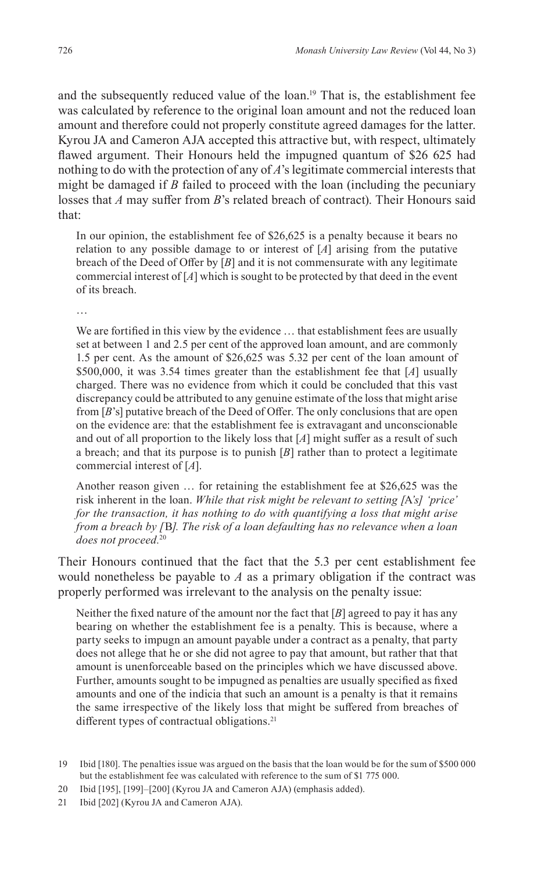and the subsequently reduced value of the loan.<sup>19</sup> That is, the establishment fee was calculated by reference to the original loan amount and not the reduced loan amount and therefore could not properly constitute agreed damages for the latter. Kyrou JA and Cameron AJA accepted this attractive but, with respect, ultimately flawed argument. Their Honours held the impugned quantum of \$26 625 had nothing to do with the protection of any of *A*'s legitimate commercial interests that might be damaged if *B* failed to proceed with the loan (including the pecuniary losses that *A* may suffer from *B*'s related breach of contract). Their Honours said that:

In our opinion, the establishment fee of \$26,625 is a penalty because it bears no relation to any possible damage to or interest of [*A*] arising from the putative breach of the Deed of Offer by [*B*] and it is not commensurate with any legitimate commercial interest of [*A*] which is sought to be protected by that deed in the event of its breach.

…

We are fortified in this view by the evidence … that establishment fees are usually set at between 1 and 2.5 per cent of the approved loan amount, and are commonly 1.5 per cent. As the amount of \$26,625 was 5.32 per cent of the loan amount of \$500,000, it was 3.54 times greater than the establishment fee that [*A*] usually charged. There was no evidence from which it could be concluded that this vast discrepancy could be attributed to any genuine estimate of the loss that might arise from [*B*'s] putative breach of the Deed of Offer. The only conclusions that are open on the evidence are: that the establishment fee is extravagant and unconscionable and out of all proportion to the likely loss that [*A*] might suffer as a result of such a breach; and that its purpose is to punish [*B*] rather than to protect a legitimate commercial interest of [*A*].

Another reason given … for retaining the establishment fee at \$26,625 was the risk inherent in the loan. *While that risk might be relevant to setting [*A*'s] 'price' for the transaction, it has nothing to do with quantifying a loss that might arise from a breach by [*B*]. The risk of a loan defaulting has no relevance when a loan does not proceed.*<sup>20</sup>

Their Honours continued that the fact that the 5.3 per cent establishment fee would nonetheless be payable to *A* as a primary obligation if the contract was properly performed was irrelevant to the analysis on the penalty issue:

Neither the fixed nature of the amount nor the fact that [*B*] agreed to pay it has any bearing on whether the establishment fee is a penalty. This is because, where a party seeks to impugn an amount payable under a contract as a penalty, that party does not allege that he or she did not agree to pay that amount, but rather that that amount is unenforceable based on the principles which we have discussed above. Further, amounts sought to be impugned as penalties are usually specified as fixed amounts and one of the indicia that such an amount is a penalty is that it remains the same irrespective of the likely loss that might be suffered from breaches of different types of contractual obligations.<sup>21</sup>

<sup>19</sup> Ibid [180]. The penalties issue was argued on the basis that the loan would be for the sum of \$500 000 but the establishment fee was calculated with reference to the sum of \$1 775 000.

<sup>20</sup> Ibid [195], [199]–[200] (Kyrou JA and Cameron AJA) (emphasis added).

<sup>21</sup> Ibid [202] (Kyrou JA and Cameron AJA).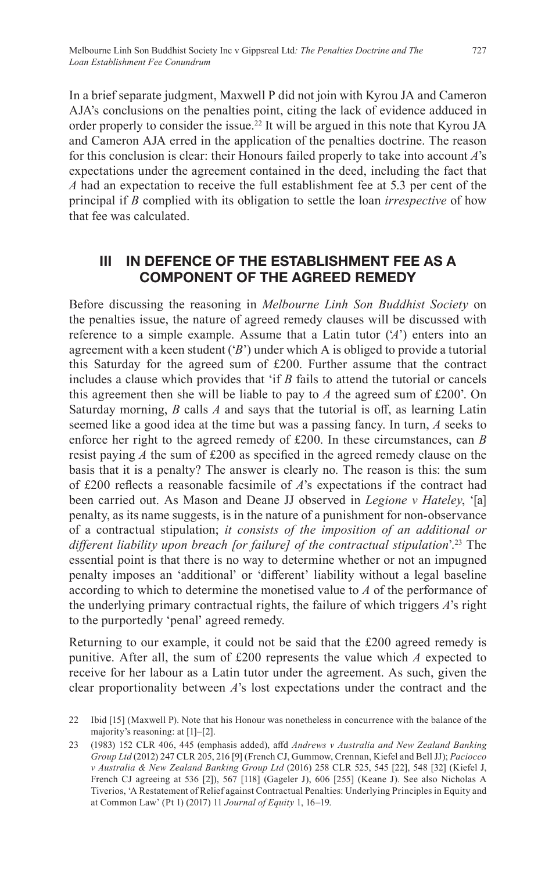In a brief separate judgment, Maxwell P did not join with Kyrou JA and Cameron AJA's conclusions on the penalties point, citing the lack of evidence adduced in order properly to consider the issue.22 It will be argued in this note that Kyrou JA and Cameron AJA erred in the application of the penalties doctrine. The reason for this conclusion is clear: their Honours failed properly to take into account *A*'s expectations under the agreement contained in the deed, including the fact that *A* had an expectation to receive the full establishment fee at 5.3 per cent of the principal if *B* complied with its obligation to settle the loan *irrespective* of how that fee was calculated.

## **III IN DEFENCE OF THE ESTABLISHMENT FEE AS A COMPONENT OF THE AGREED REMEDY**

Before discussing the reasoning in *Melbourne Linh Son Buddhist Society* on the penalties issue, the nature of agreed remedy clauses will be discussed with reference to a simple example. Assume that a Latin tutor ('*A*') enters into an agreement with a keen student ('*B*') under which A is obliged to provide a tutorial this Saturday for the agreed sum of £200. Further assume that the contract includes a clause which provides that 'if *B* fails to attend the tutorial or cancels this agreement then she will be liable to pay to A the agreed sum of £200'. On Saturday morning, *B* calls *A* and says that the tutorial is off, as learning Latin seemed like a good idea at the time but was a passing fancy. In turn, *A* seeks to enforce her right to the agreed remedy of £200. In these circumstances, can *B* resist paying *A* the sum of £200 as specified in the agreed remedy clause on the basis that it is a penalty? The answer is clearly no. The reason is this: the sum of £200 reflects a reasonable facsimile of *A*'s expectations if the contract had been carried out. As Mason and Deane JJ observed in *Legione v Hateley*, '[a] penalty, as its name suggests, is in the nature of a punishment for non-observance of a contractual stipulation; *it consists of the imposition of an additional or different liability upon breach [or failure] of the contractual stipulation*'.23 The essential point is that there is no way to determine whether or not an impugned penalty imposes an 'additional' or 'different' liability without a legal baseline according to which to determine the monetised value to *A* of the performance of the underlying primary contractual rights, the failure of which triggers *A*'s right to the purportedly 'penal' agreed remedy.

Returning to our example, it could not be said that the  $£200$  agreed remedy is punitive. After all, the sum of £200 represents the value which *A* expected to receive for her labour as a Latin tutor under the agreement. As such, given the clear proportionality between *A*'s lost expectations under the contract and the

<sup>22</sup> Ibid [15] (Maxwell P). Note that his Honour was nonetheless in concurrence with the balance of the majority's reasoning: at [1]–[2].

<sup>23</sup> (1983) 152 CLR 406, 445 (emphasis added), affd *Andrews v Australia and New Zealand Banking Group Ltd* (2012) 247 CLR 205, 216 [9] (French CJ, Gummow, Crennan, Kiefel and Bell JJ); *Paciocco v Australia & New Zealand Banking Group Ltd* (2016) 258 CLR 525, 545 [22], 548 [32] (Kiefel J, French CJ agreeing at 536 [2]), 567 [118] (Gageler J), 606 [255] (Keane J). See also Nicholas A Tiverios, 'A Restatement of Relief against Contractual Penalties: Underlying Principles in Equity and at Common Law' (Pt 1) (2017) 11 *Journal of Equity* 1, 16–19.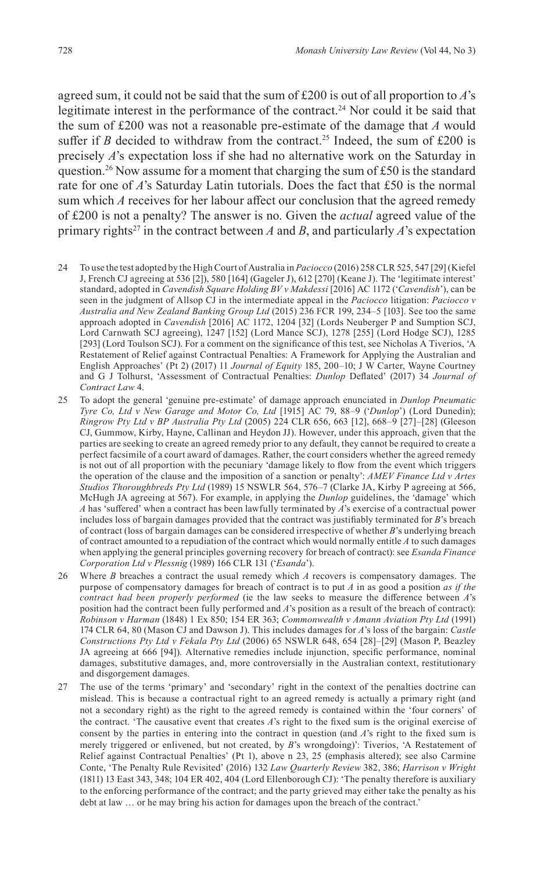agreed sum, it could not be said that the sum of £200 is out of all proportion to *A*'s legitimate interest in the performance of the contract.<sup>24</sup> Nor could it be said that the sum of £200 was not a reasonable pre-estimate of the damage that *A* would suffer if *B* decided to withdraw from the contract.<sup>25</sup> Indeed, the sum of £200 is precisely *A*'s expectation loss if she had no alternative work on the Saturday in question.<sup>26</sup> Now assume for a moment that charging the sum of £50 is the standard rate for one of *A*'s Saturday Latin tutorials. Does the fact that £50 is the normal sum which *A* receives for her labour affect our conclusion that the agreed remedy of £200 is not a penalty? The answer is no. Given the *actual* agreed value of the primary rights<sup>27</sup> in the contract between *A* and *B*, and particularly *A*'s expectation

- 24 To use the test adopted by the High Court of Australia in *Paciocco* (2016) 258 CLR 525, 547 [29] (Kiefel J, French CJ agreeing at 536 [2]), 580 [164] (Gageler J), 612 [270] (Keane J). The 'legitimate interest' standard, adopted in *Cavendish Square Holding BV v Makdessi* [2016] AC 1172 ('*Cavendish*'), can be seen in the judgment of Allsop CJ in the intermediate appeal in the *Paciocco* litigation: *Paciocco v Australia and New Zealand Banking Group Ltd* (2015) 236 FCR 199, 234–5 [103]. See too the same approach adopted in *Cavendish* [2016] AC 1172, 1204 [32] (Lords Neuberger P and Sumption SCJ, Lord Carnwath SCJ agreeing), 1247 [152] (Lord Mance SCJ), 1278 [255] (Lord Hodge SCJ), 1285 [293] (Lord Toulson SCJ). For a comment on the significance of this test, see Nicholas A Tiverios, 'A Restatement of Relief against Contractual Penalties: A Framework for Applying the Australian and English Approaches' (Pt 2) (2017) 11 *Journal of Equity* 185, 200–10; J W Carter, Wayne Courtney and G J Tolhurst, 'Assessment of Contractual Penalties: *Dunlop* Deflated' (2017) 34 *Journal of Contract Law* 4.
- 25 To adopt the general 'genuine pre-estimate' of damage approach enunciated in *Dunlop Pneumatic Tyre Co, Ltd v New Garage and Motor Co, Ltd* [1915] AC 79, 88–9 ('*Dunlop*') (Lord Dunedin); *Ringrow Pty Ltd v BP Australia Pty Ltd* (2005) 224 CLR 656, 663 [12], 668–9 [27]–[28] (Gleeson CJ, Gummow, Kirby, Hayne, Callinan and Heydon JJ). However, under this approach, given that the parties are seeking to create an agreed remedy prior to any default, they cannot be required to create a perfect facsimile of a court award of damages. Rather, the court considers whether the agreed remedy is not out of all proportion with the pecuniary 'damage likely to flow from the event which triggers the operation of the clause and the imposition of a sanction or penalty': *AMEV Finance Ltd v Artes Studios Thoroughbreds Pty Ltd* (1989) 15 NSWLR 564, 576–7 (Clarke JA, Kirby P agreeing at 566, McHugh JA agreeing at 567). For example, in applying the *Dunlop* guidelines, the 'damage' which *A* has 'suffered' when a contract has been lawfully terminated by *A*'s exercise of a contractual power includes loss of bargain damages provided that the contract was justifiably terminated for *B*'s breach of contract (loss of bargain damages can be considered irrespective of whether *B*'s underlying breach of contract amounted to a repudiation of the contract which would normally entitle *A* to such damages when applying the general principles governing recovery for breach of contract): see *Esanda Finance Corporation Ltd v Plessnig* (1989) 166 CLR 131 ('*Esanda*').
- 26 Where *B* breaches a contract the usual remedy which *A* recovers is compensatory damages. The purpose of compensatory damages for breach of contract is to put *A* in as good a position *as if the contract had been properly performed* (ie the law seeks to measure the difference between *A*'s position had the contract been fully performed and *A*'s position as a result of the breach of contract): *Robinson v Harman* (1848) 1 Ex 850; 154 ER 363; *Commonwealth v Amann Aviation Pty Ltd* (1991) 174 CLR 64, 80 (Mason CJ and Dawson J). This includes damages for *A*'s loss of the bargain: *Castle Constructions Pty Ltd v Fekala Pty Ltd* (2006) 65 NSWLR 648, 654 [28]–[29] (Mason P, Beazley JA agreeing at 666 [94]). Alternative remedies include injunction, specific performance, nominal damages, substitutive damages, and, more controversially in the Australian context, restitutionary and disgorgement damages.
- 27 The use of the terms 'primary' and 'secondary' right in the context of the penalties doctrine can mislead. This is because a contractual right to an agreed remedy is actually a primary right (and not a secondary right) as the right to the agreed remedy is contained within the 'four corners' of the contract. 'The causative event that creates *A*'s right to the fixed sum is the original exercise of consent by the parties in entering into the contract in question (and *A*'s right to the fixed sum is merely triggered or enlivened, but not created, by *B*'s wrongdoing)': Tiverios, 'A Restatement of Relief against Contractual Penalties' (Pt 1), above n 23, 25 (emphasis altered); see also Carmine Conte, 'The Penalty Rule Revisited' (2016) 132 *Law Quarterly Review* 382, 386; *Harrison v Wright* (1811) 13 East 343, 348; 104 ER 402, 404 (Lord Ellenborough CJ): 'The penalty therefore is auxiliary to the enforcing performance of the contract; and the party grieved may either take the penalty as his debt at law … or he may bring his action for damages upon the breach of the contract.'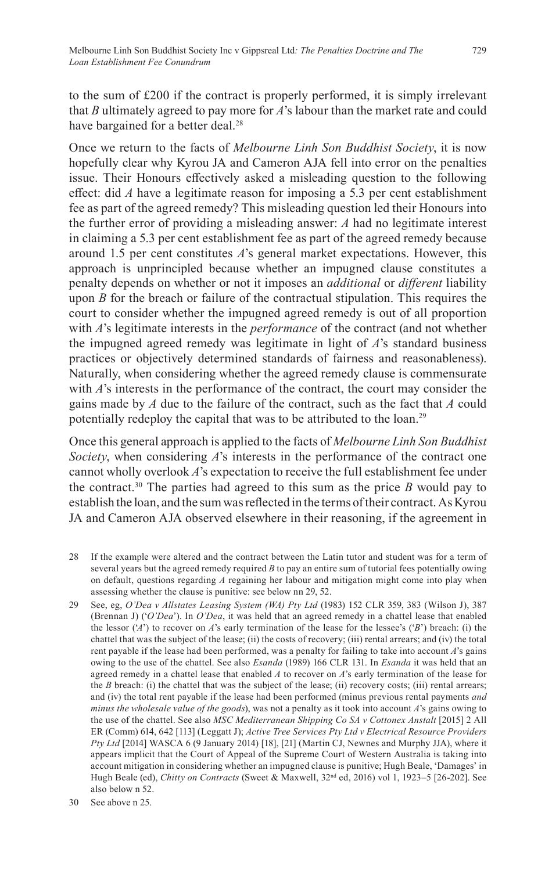to the sum of £200 if the contract is properly performed, it is simply irrelevant that *B* ultimately agreed to pay more for *A*'s labour than the market rate and could have bargained for a better deal.<sup>28</sup>

Once we return to the facts of *Melbourne Linh Son Buddhist Society*, it is now hopefully clear why Kyrou JA and Cameron AJA fell into error on the penalties issue. Their Honours effectively asked a misleading question to the following effect: did *A* have a legitimate reason for imposing a 5.3 per cent establishment fee as part of the agreed remedy? This misleading question led their Honours into the further error of providing a misleading answer: *A* had no legitimate interest in claiming a 5.3 per cent establishment fee as part of the agreed remedy because around 1.5 per cent constitutes *A*'s general market expectations. However, this approach is unprincipled because whether an impugned clause constitutes a penalty depends on whether or not it imposes an *additional* or *different* liability upon *B* for the breach or failure of the contractual stipulation. This requires the court to consider whether the impugned agreed remedy is out of all proportion with *A*'s legitimate interests in the *performance* of the contract (and not whether the impugned agreed remedy was legitimate in light of *A*'s standard business practices or objectively determined standards of fairness and reasonableness). Naturally, when considering whether the agreed remedy clause is commensurate with *A*'s interests in the performance of the contract, the court may consider the gains made by *A* due to the failure of the contract, such as the fact that *A* could potentially redeploy the capital that was to be attributed to the loan.<sup>29</sup>

Once this general approach is applied to the facts of *Melbourne Linh Son Buddhist Society*, when considering *A*'s interests in the performance of the contract one cannot wholly overlook *A*'s expectation to receive the full establishment fee under the contract.<sup>30</sup> The parties had agreed to this sum as the price  $B$  would pay to establish the loan, and the sum was reflected in the terms of their contract. As Kyrou JA and Cameron AJA observed elsewhere in their reasoning, if the agreement in

- 28 If the example were altered and the contract between the Latin tutor and student was for a term of several years but the agreed remedy required *B* to pay an entire sum of tutorial fees potentially owing on default, questions regarding *A* regaining her labour and mitigation might come into play when assessing whether the clause is punitive: see below nn 29, 52.
- 29 See, eg, *O'Dea v Allstates Leasing System (WA) Pty Ltd* (1983) 152 CLR 359, 383 (Wilson J), 387 (Brennan J) ('*O'Dea*'). In *O'Dea*, it was held that an agreed remedy in a chattel lease that enabled the lessor ('*A*') to recover on *A*'s early termination of the lease for the lessee's ('*B*') breach: (i) the chattel that was the subject of the lease; (ii) the costs of recovery; (iii) rental arrears; and (iv) the total rent payable if the lease had been performed, was a penalty for failing to take into account *A*'s gains owing to the use of the chattel. See also *Esanda* (1989) 166 CLR 131. In *Esanda* it was held that an agreed remedy in a chattel lease that enabled *A* to recover on *A*'s early termination of the lease for the *B* breach: (i) the chattel that was the subject of the lease; (ii) recovery costs; (iii) rental arrears; and (iv) the total rent payable if the lease had been performed (minus previous rental payments *and minus the wholesale value of the goods*), was not a penalty as it took into account *A*'s gains owing to the use of the chattel. See also *MSC Mediterranean Shipping Co SA v Cottonex Anstalt* [2015] 2 All ER (Comm) 614, 642 [113] (Leggatt J); *Active Tree Services Pty Ltd v Electrical Resource Providers Pty Ltd* [2014] WASCA 6 (9 January 2014) [18], [21] (Martin CJ, Newnes and Murphy JJA), where it appears implicit that the Court of Appeal of the Supreme Court of Western Australia is taking into account mitigation in considering whether an impugned clause is punitive; Hugh Beale, 'Damages' in Hugh Beale (ed), *Chitty on Contracts* (Sweet & Maxwell, 32nd ed, 2016) vol 1, 1923–5 [26-202]. See also below n 52.
- 30 See above n 25.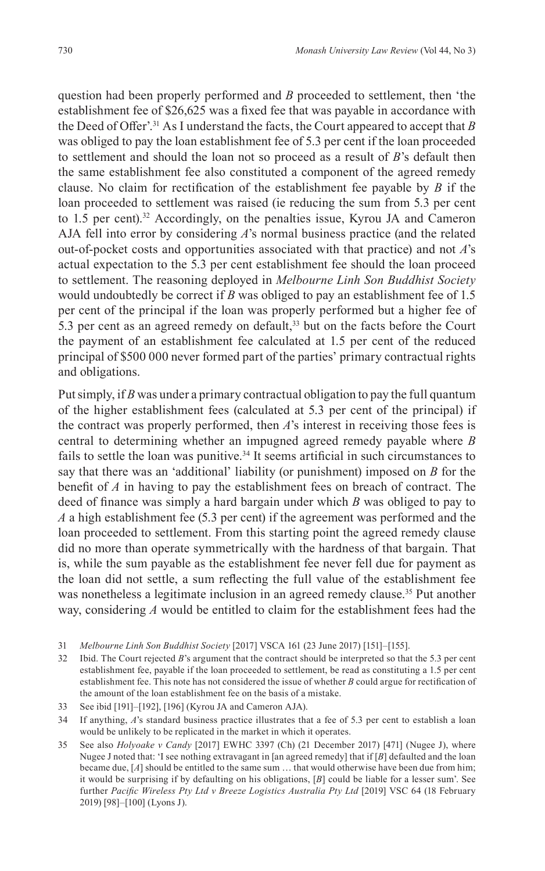question had been properly performed and *B* proceeded to settlement, then 'the establishment fee of \$26,625 was a fixed fee that was payable in accordance with the Deed of Offer'.31 As I understand the facts, the Court appeared to accept that *B* was obliged to pay the loan establishment fee of 5.3 per cent if the loan proceeded to settlement and should the loan not so proceed as a result of *B*'s default then the same establishment fee also constituted a component of the agreed remedy clause. No claim for rectification of the establishment fee payable by *B* if the loan proceeded to settlement was raised (ie reducing the sum from 5.3 per cent to 1.5 per cent).<sup>32</sup> Accordingly, on the penalties issue, Kyrou JA and Cameron AJA fell into error by considering *A*'s normal business practice (and the related out-of-pocket costs and opportunities associated with that practice) and not *A*'s actual expectation to the 5.3 per cent establishment fee should the loan proceed to settlement. The reasoning deployed in *Melbourne Linh Son Buddhist Society*  would undoubtedly be correct if *B* was obliged to pay an establishment fee of 1.5 per cent of the principal if the loan was properly performed but a higher fee of 5.3 per cent as an agreed remedy on default, $33$  but on the facts before the Court the payment of an establishment fee calculated at 1.5 per cent of the reduced principal of \$500 000 never formed part of the parties' primary contractual rights and obligations.

Put simply, if *B* was under a primary contractual obligation to pay the full quantum of the higher establishment fees (calculated at 5.3 per cent of the principal) if the contract was properly performed, then *A*'s interest in receiving those fees is central to determining whether an impugned agreed remedy payable where *B* fails to settle the loan was punitive.<sup>34</sup> It seems artificial in such circumstances to say that there was an 'additional' liability (or punishment) imposed on *B* for the benefit of *A* in having to pay the establishment fees on breach of contract. The deed of finance was simply a hard bargain under which *B* was obliged to pay to *A* a high establishment fee (5.3 per cent) if the agreement was performed and the loan proceeded to settlement. From this starting point the agreed remedy clause did no more than operate symmetrically with the hardness of that bargain. That is, while the sum payable as the establishment fee never fell due for payment as the loan did not settle, a sum reflecting the full value of the establishment fee was nonetheless a legitimate inclusion in an agreed remedy clause.<sup>35</sup> Put another way, considering *A* would be entitled to claim for the establishment fees had the

- 33 See ibid [191]–[192], [196] (Kyrou JA and Cameron AJA).
- 34 If anything, *A*'s standard business practice illustrates that a fee of 5.3 per cent to establish a loan would be unlikely to be replicated in the market in which it operates.
- 35 See also *Holyoake v Candy* [2017] EWHC 3397 (Ch) (21 December 2017) [471] (Nugee J), where Nugee J noted that: 'I see nothing extravagant in [an agreed remedy] that if [*B*] defaulted and the loan became due, [*A*] should be entitled to the same sum … that would otherwise have been due from him; it would be surprising if by defaulting on his obligations, [*B*] could be liable for a lesser sum'. See further *Pacific Wireless Pty Ltd v Breeze Logistics Australia Pty Ltd* [2019] VSC 64 (18 February 2019) [98]–[100] (Lyons J).

<sup>31</sup> *Melbourne Linh Son Buddhist Society* [2017] VSCA 161 (23 June 2017) [151]–[155].

<sup>32</sup> Ibid. The Court rejected *B*'s argument that the contract should be interpreted so that the 5.3 per cent establishment fee, payable if the loan proceeded to settlement, be read as constituting a 1.5 per cent establishment fee. This note has not considered the issue of whether *B* could argue for rectification of the amount of the loan establishment fee on the basis of a mistake.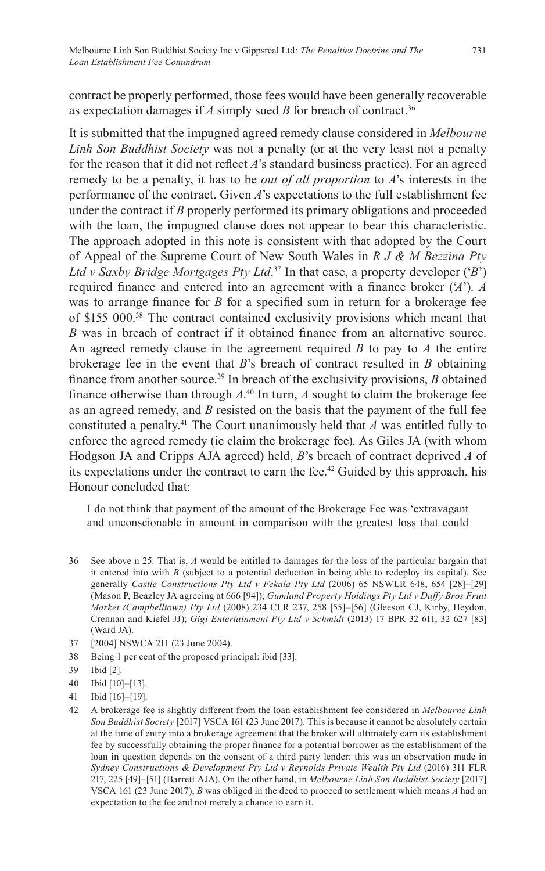contract be properly performed, those fees would have been generally recoverable as expectation damages if  $A$  simply sued  $B$  for breach of contract.<sup>36</sup>

It is submitted that the impugned agreed remedy clause considered in *Melbourne Linh Son Buddhist Society* was not a penalty (or at the very least not a penalty for the reason that it did not reflect *A*'s standard business practice). For an agreed remedy to be a penalty, it has to be *out of all proportion* to *A*'s interests in the performance of the contract. Given *A*'s expectations to the full establishment fee under the contract if *B* properly performed its primary obligations and proceeded with the loan, the impugned clause does not appear to bear this characteristic. The approach adopted in this note is consistent with that adopted by the Court of Appeal of the Supreme Court of New South Wales in *R J & M Bezzina Pty Ltd v Saxby Bridge Mortgages Pty Ltd*. 37 In that case, a property developer ('*B*') required finance and entered into an agreement with a finance broker ('*A*'). *A* was to arrange finance for *B* for a specified sum in return for a brokerage fee of \$155 000.38 The contract contained exclusivity provisions which meant that *B* was in breach of contract if it obtained finance from an alternative source. An agreed remedy clause in the agreement required *B* to pay to *A* the entire brokerage fee in the event that *B*'s breach of contract resulted in *B* obtaining finance from another source.39 In breach of the exclusivity provisions, *B* obtained finance otherwise than through *A*. 40 In turn, *A* sought to claim the brokerage fee as an agreed remedy, and *B* resisted on the basis that the payment of the full fee constituted a penalty.<sup>41</sup> The Court unanimously held that  $A$  was entitled fully to enforce the agreed remedy (ie claim the brokerage fee). As Giles JA (with whom Hodgson JA and Cripps AJA agreed) held, *B*'s breach of contract deprived *A* of its expectations under the contract to earn the fee.<sup>42</sup> Guided by this approach, his Honour concluded that:

I do not think that payment of the amount of the Brokerage Fee was 'extravagant and unconscionable in amount in comparison with the greatest loss that could

- 36 See above n 25. That is, *A* would be entitled to damages for the loss of the particular bargain that it entered into with *B* (subject to a potential deduction in being able to redeploy its capital). See generally *Castle Constructions Pty Ltd v Fekala Pty Ltd* (2006) 65 NSWLR 648, 654 [28]–[29] (Mason P, Beazley JA agreeing at 666 [94]); *Gumland Property Holdings Pty Ltd v Duffy Bros Fruit Market (Campbelltown) Pty Ltd* (2008) 234 CLR 237, 258 [55]–[56] (Gleeson CJ, Kirby, Heydon, Crennan and Kiefel JJ); *Gigi Entertainment Pty Ltd v Schmidt* (2013) 17 BPR 32 611, 32 627 [83] (Ward JA).
- 37 [2004] NSWCA 211 (23 June 2004).
- 38 Being 1 per cent of the proposed principal: ibid [33].
- 39 Ibid [2].
- 40 Ibid [10]–[13].
- 41 Ibid [16]–[19].
- 42 A brokerage fee is slightly different from the loan establishment fee considered in *Melbourne Linh Son Buddhist Society* [2017] VSCA 161 (23 June 2017). This is because it cannot be absolutely certain at the time of entry into a brokerage agreement that the broker will ultimately earn its establishment fee by successfully obtaining the proper finance for a potential borrower as the establishment of the loan in question depends on the consent of a third party lender: this was an observation made in *Sydney Constructions & Development Pty Ltd v Reynolds Private Wealth Pty Ltd* (2016) 311 FLR 217, 225 [49]–[51] (Barrett AJA). On the other hand, in *Melbourne Linh Son Buddhist Society* [2017] VSCA 161 (23 June 2017), *B* was obliged in the deed to proceed to settlement which means *A* had an expectation to the fee and not merely a chance to earn it.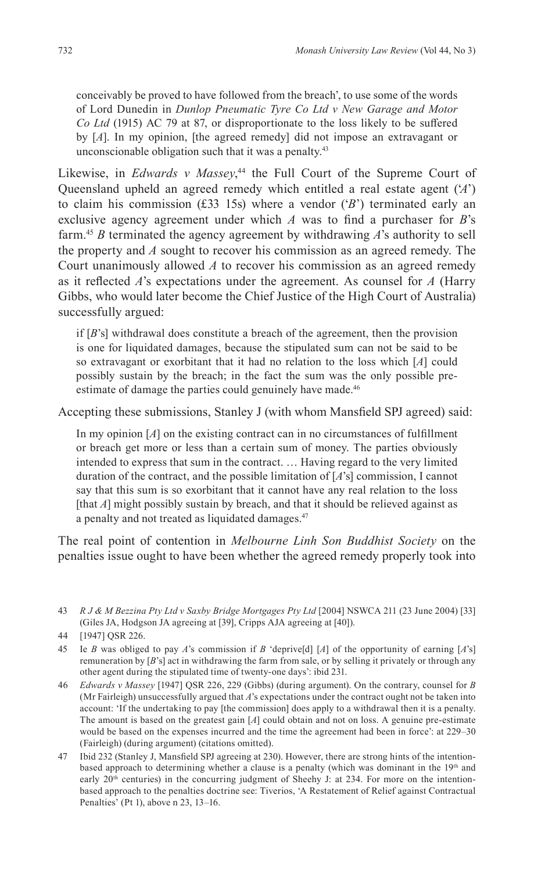conceivably be proved to have followed from the breach', to use some of the words of Lord Dunedin in *Dunlop Pneumatic Tyre Co Ltd v New Garage and Motor Co Ltd* (1915) AC 79 at 87, or disproportionate to the loss likely to be suffered by [*A*]. In my opinion, [the agreed remedy] did not impose an extravagant or unconscionable obligation such that it was a penalty.<sup>43</sup>

Likewise, in *Edwards v Massey*, 44 the Full Court of the Supreme Court of Queensland upheld an agreed remedy which entitled a real estate agent ('*A*') to claim his commission (£33 15s) where a vendor  $(B<sup>2</sup>)$  terminated early an exclusive agency agreement under which *A* was to find a purchaser for *B*'s farm.45 *B* terminated the agency agreement by withdrawing *A*'s authority to sell the property and *A* sought to recover his commission as an agreed remedy. The Court unanimously allowed *A* to recover his commission as an agreed remedy as it reflected *A*'s expectations under the agreement. As counsel for *A* (Harry Gibbs, who would later become the Chief Justice of the High Court of Australia) successfully argued:

if [*B*'s] withdrawal does constitute a breach of the agreement, then the provision is one for liquidated damages, because the stipulated sum can not be said to be so extravagant or exorbitant that it had no relation to the loss which [*A*] could possibly sustain by the breach; in the fact the sum was the only possible preestimate of damage the parties could genuinely have made.<sup>46</sup>

Accepting these submissions, Stanley J (with whom Mansfield SPJ agreed) said:

In my opinion [*A*] on the existing contract can in no circumstances of fulfillment or breach get more or less than a certain sum of money. The parties obviously intended to express that sum in the contract. … Having regard to the very limited duration of the contract, and the possible limitation of [*A*'s] commission, I cannot say that this sum is so exorbitant that it cannot have any real relation to the loss [that *A*] might possibly sustain by breach, and that it should be relieved against as a penalty and not treated as liquidated damages.<sup>47</sup>

The real point of contention in *Melbourne Linh Son Buddhist Society* on the penalties issue ought to have been whether the agreed remedy properly took into

- 46 *Edwards v Massey* [1947] QSR 226, 229 (Gibbs) (during argument). On the contrary, counsel for *B* (Mr Fairleigh) unsuccessfully argued that *A*'s expectations under the contract ought not be taken into account: 'If the undertaking to pay [the commission] does apply to a withdrawal then it is a penalty. The amount is based on the greatest gain [*A*] could obtain and not on loss. A genuine pre-estimate would be based on the expenses incurred and the time the agreement had been in force': at 229–30 (Fairleigh) (during argument) (citations omitted).
- 47 Ibid 232 (Stanley J, Mansfield SPJ agreeing at 230). However, there are strong hints of the intentionbased approach to determining whether a clause is a penalty (which was dominant in the  $19<sup>th</sup>$  and early  $20<sup>th</sup>$  centuries) in the concurring judgment of Sheehy J: at 234. For more on the intentionbased approach to the penalties doctrine see: Tiverios, 'A Restatement of Relief against Contractual Penalties' (Pt 1), above n 23, 13–16.

<sup>43</sup> *R J & M Bezzina Pty Ltd v Saxby Bridge Mortgages Pty Ltd* [2004] NSWCA 211 (23 June 2004) [33] (Giles JA, Hodgson JA agreeing at [39], Cripps AJA agreeing at [40]).

<sup>44</sup> [1947] QSR 226.

<sup>45</sup> Ie *B* was obliged to pay *A*'s commission if *B* 'deprive[d] [*A*] of the opportunity of earning [*A*'s] remuneration by [*B*'s] act in withdrawing the farm from sale, or by selling it privately or through any other agent during the stipulated time of twenty-one days': ibid 231.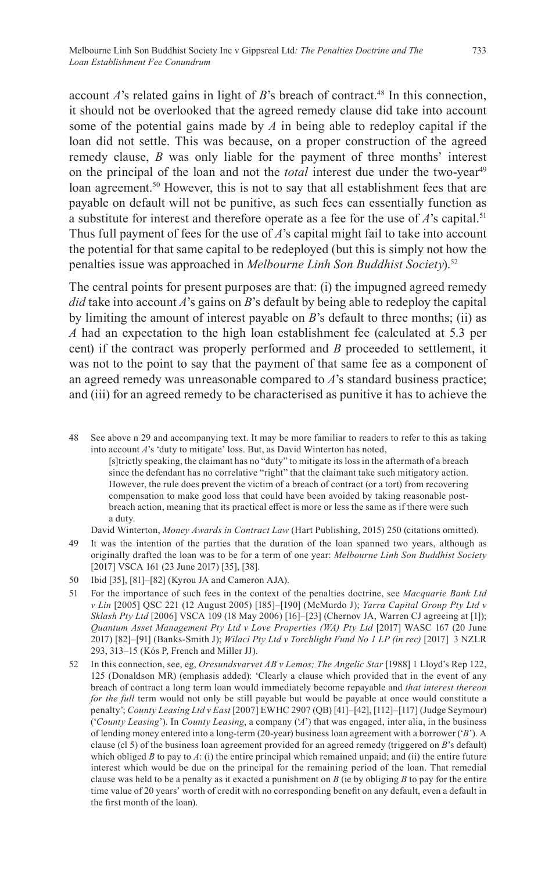account  $A$ 's related gains in light of  $B$ 's breach of contract.<sup>48</sup> In this connection, it should not be overlooked that the agreed remedy clause did take into account some of the potential gains made by *A* in being able to redeploy capital if the loan did not settle. This was because, on a proper construction of the agreed remedy clause, *B* was only liable for the payment of three months' interest on the principal of the loan and not the *total* interest due under the two-year<sup>49</sup> loan agreement.<sup>50</sup> However, this is not to say that all establishment fees that are payable on default will not be punitive, as such fees can essentially function as a substitute for interest and therefore operate as a fee for the use of  $A$ 's capital.<sup>51</sup> Thus full payment of fees for the use of *A*'s capital might fail to take into account the potential for that same capital to be redeployed (but this is simply not how the penalties issue was approached in *Melbourne Linh Son Buddhist Society*).52

The central points for present purposes are that: (i) the impugned agreed remedy *did* take into account *A*'s gains on *B*'s default by being able to redeploy the capital by limiting the amount of interest payable on *B*'s default to three months; (ii) as *A* had an expectation to the high loan establishment fee (calculated at 5.3 per cent) if the contract was properly performed and *B* proceeded to settlement, it was not to the point to say that the payment of that same fee as a component of an agreed remedy was unreasonable compared to *A*'s standard business practice; and (iii) for an agreed remedy to be characterised as punitive it has to achieve the

48 See above n 29 and accompanying text. It may be more familiar to readers to refer to this as taking into account *A*'s 'duty to mitigate' loss. But, as David Winterton has noted,

[s]trictly speaking, the claimant has no "duty" to mitigate its loss in the aftermath of a breach since the defendant has no correlative "right" that the claimant take such mitigatory action. However, the rule does prevent the victim of a breach of contract (or a tort) from recovering compensation to make good loss that could have been avoided by taking reasonable postbreach action, meaning that its practical effect is more or less the same as if there were such a duty.

David Winterton, *Money Awards in Contract Law* (Hart Publishing, 2015) 250 (citations omitted).

- 49 It was the intention of the parties that the duration of the loan spanned two years, although as originally drafted the loan was to be for a term of one year: *Melbourne Linh Son Buddhist Society*  [2017] VSCA 161 (23 June 2017) [35], [38].
- 50 Ibid [35], [81]–[82] (Kyrou JA and Cameron AJA).
- 51 For the importance of such fees in the context of the penalties doctrine, see *Macquarie Bank Ltd v Lin* [2005] QSC 221 (12 August 2005) [185]–[190] (McMurdo J); *Yarra Capital Group Pty Ltd v Sklash Pty Ltd* [2006] VSCA 109 (18 May 2006) [16]–[23] (Chernov JA, Warren CJ agreeing at [1]); *Quantum Asset Management Pty Ltd v Love Properties (WA) Pty Ltd* [2017] WASC 167 (20 June 2017) [82]–[91] (Banks-Smith J); *Wilaci Pty Ltd v Torchlight Fund No 1 LP (in rec)* [2017] 3 NZLR 293, 313–15 (Kós P, French and Miller JJ).
- 52 In this connection, see, eg, *Oresundsvarvet AB v Lemos; The Angelic Star* [1988] 1 Lloyd's Rep 122, 125 (Donaldson MR) (emphasis added): 'Clearly a clause which provided that in the event of any breach of contract a long term loan would immediately become repayable and *that interest thereon for the full* term would not only be still payable but would be payable at once would constitute a penalty'; *County Leasing Ltd v East* [2007] EWHC 2907 (QB) [41]–[42], [112]–[117] (Judge Seymour) ('*County Leasing*'). In *County Leasing*, a company ('*A*') that was engaged, inter alia, in the business of lending money entered into a long-term (20-year) business loan agreement with a borrower ('*B*'). A clause (cl 5) of the business loan agreement provided for an agreed remedy (triggered on *B*'s default) which obliged *B* to pay to *A*: (i) the entire principal which remained unpaid; and (ii) the entire future interest which would be due on the principal for the remaining period of the loan. That remedial clause was held to be a penalty as it exacted a punishment on *B* (ie by obliging *B* to pay for the entire time value of 20 years' worth of credit with no corresponding benefit on any default, even a default in the first month of the loan).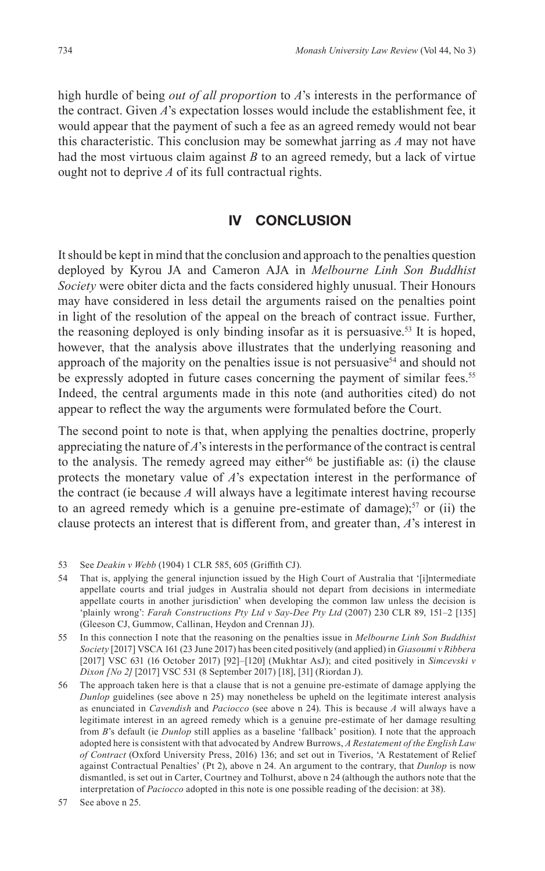high hurdle of being *out of all proportion* to *A*'s interests in the performance of the contract. Given *A*'s expectation losses would include the establishment fee, it would appear that the payment of such a fee as an agreed remedy would not bear this characteristic. This conclusion may be somewhat jarring as *A* may not have had the most virtuous claim against *B* to an agreed remedy, but a lack of virtue ought not to deprive *A* of its full contractual rights.

## **IV CONCLUSION**

It should be kept in mind that the conclusion and approach to the penalties question deployed by Kyrou JA and Cameron AJA in *Melbourne Linh Son Buddhist Society* were obiter dicta and the facts considered highly unusual. Their Honours may have considered in less detail the arguments raised on the penalties point in light of the resolution of the appeal on the breach of contract issue. Further, the reasoning deployed is only binding insofar as it is persuasive.<sup>53</sup> It is hoped, however, that the analysis above illustrates that the underlying reasoning and approach of the majority on the penalties issue is not persuasive<sup>54</sup> and should not be expressly adopted in future cases concerning the payment of similar fees.<sup>55</sup> Indeed, the central arguments made in this note (and authorities cited) do not appear to reflect the way the arguments were formulated before the Court.

The second point to note is that, when applying the penalties doctrine, properly appreciating the nature of  $A$ 's interests in the performance of the contract is central to the analysis. The remedy agreed may either<sup>56</sup> be justifiable as: (i) the clause protects the monetary value of *A*'s expectation interest in the performance of the contract (ie because *A* will always have a legitimate interest having recourse to an agreed remedy which is a genuine pre-estimate of damage);<sup>57</sup> or (ii) the clause protects an interest that is different from, and greater than, *A*'s interest in

56 The approach taken here is that a clause that is not a genuine pre-estimate of damage applying the *Dunlop* guidelines (see above n 25) may nonetheless be upheld on the legitimate interest analysis as enunciated in *Cavendish* and *Paciocco* (see above n 24). This is because *A* will always have a legitimate interest in an agreed remedy which is a genuine pre-estimate of her damage resulting from *B*'s default (ie *Dunlop* still applies as a baseline 'fallback' position). I note that the approach adopted here is consistent with that advocated by Andrew Burrows, *A Restatement of the English Law of Contract* (Oxford University Press, 2016) 136; and set out in Tiverios, 'A Restatement of Relief against Contractual Penalties' (Pt 2), above n 24. An argument to the contrary, that *Dunlop* is now dismantled, is set out in Carter, Courtney and Tolhurst, above n 24 (although the authors note that the interpretation of *Paciocco* adopted in this note is one possible reading of the decision: at 38).

<sup>53</sup> See *Deakin v Webb* (1904) 1 CLR 585, 605 (Griffith CJ).

<sup>54</sup> That is, applying the general injunction issued by the High Court of Australia that '[i]ntermediate appellate courts and trial judges in Australia should not depart from decisions in intermediate appellate courts in another jurisdiction' when developing the common law unless the decision is 'plainly wrong': *Farah Constructions Pty Ltd v Say-Dee Pty Ltd* (2007) 230 CLR 89, 151–2 [135] (Gleeson CJ, Gummow, Callinan, Heydon and Crennan JJ).

<sup>55</sup> In this connection I note that the reasoning on the penalties issue in *Melbourne Linh Son Buddhist Society* [2017] VSCA 161 (23 June 2017) has been cited positively (and applied) in *Giasoumi v Ribbera*  [2017] VSC 631 (16 October 2017) [92]–[120] (Mukhtar AsJ); and cited positively in *Simcevski v Dixon [No 2]* [2017] VSC 531 (8 September 2017) [18], [31] (Riordan J).

<sup>57</sup> See above n 25.